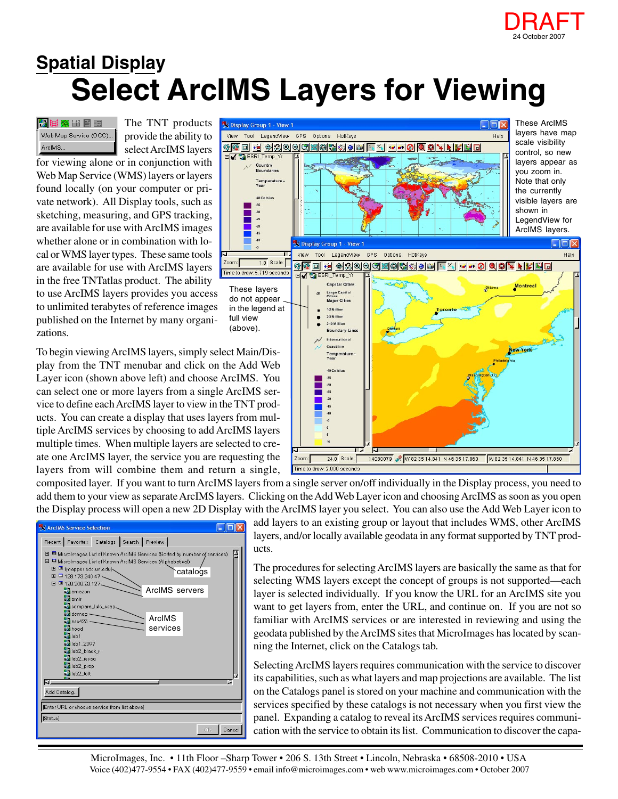

## **Select ArcIMS Layers for Viewing Spatial Display**

2 田 文 田 田 Web Map Service (OGC).. ArcIMS.

The TNT products provide the ability to select ArcIMS layers

Zoom:

for viewing alone or in conjunction with Web Map Service (WMS) layers or layers found locally (on your computer or private network). All Display tools, such as sketching, measuring, and GPS tracking, are available for use with ArcIMS images whether alone or in combination with local or WMS layer types. These same tools are available for use with ArcIMS layers in the free TNTatlas product. The ability

to use ArcIMS layers provides you access to unlimited terabytes of reference images published on the Internet by many organizations.

To begin viewing ArcIMS layers, simply select Main/Display from the TNT menubar and click on the Add Web Layer icon (shown above left) and choose ArcIMS. You can select one or more layers from a single ArcIMS service to define each ArcIMS layer to view in the TNT products. You can create a display that uses layers from multiple ArcIMS services by choosing to add ArcIMS layers multiple times. When multiple layers are selected to create one ArcIMS layer, the service you are requesting the layers from will combine them and return a single,



composited layer. If you want to turn ArcIMS layers from a single server on/off individually in the Display process, you need to add them to your view as separate ArcIMS layers. Clicking on the Add Web Layer icon and choosing ArcIMS as soon as you open the Display process will open a new 2D Display with the ArcIMS layer you select. You can also use the Add Web Layer icon to



add layers to an existing group or layout that includes WMS, other ArcIMS layers, and/or locally available geodata in any format supported by TNT products.

The procedures for selecting ArcIMS layers are basically the same as that for selecting WMS layers except the concept of groups is not supported—each layer is selected individually. If you know the URL for an ArcIMS site you want to get layers from, enter the URL, and continue on. If you are not so familiar with ArcIMS services or are interested in reviewing and using the geodata published by the ArcIMS sites that MicroImages has located by scanning the Internet, click on the Catalogs tab.

Selecting ArcIMS layers requires communication with the service to discover its capabilities, such as what layers and map projections are available. The list on the Catalogs panel is stored on your machine and communication with the services specified by these catalogs is not necessary when you first view the panel. Expanding a catalog to reveal its ArcIMS services requires communication with the service to obtain its list. Communication to discover the capa